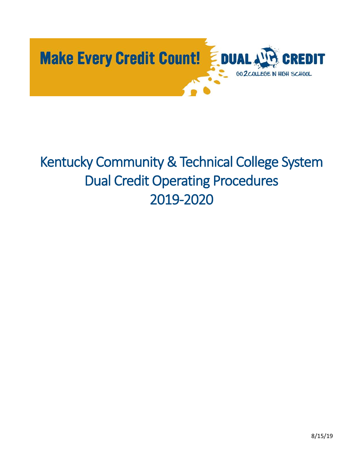

# Kentucky Community & Technical College System Dual Credit Operating Procedures 2019-2020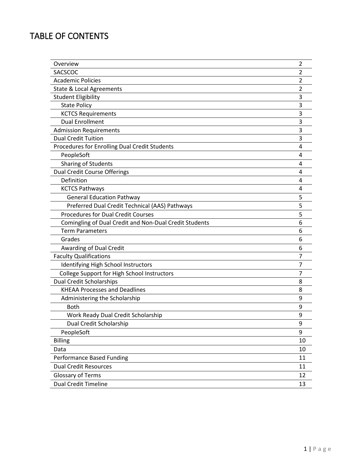# TABLE OF CONTENTS

| Overview                                               | 2  |
|--------------------------------------------------------|----|
| SACSCOC                                                | 2  |
| <b>Academic Policies</b>                               | 2  |
| <b>State &amp; Local Agreements</b>                    | 2  |
| <b>Student Eligibility</b>                             | 3  |
| <b>State Policy</b>                                    | 3  |
| <b>KCTCS Requirements</b>                              | 3  |
| <b>Dual Enrollment</b>                                 | 3  |
| <b>Admission Requirements</b>                          | 3  |
| <b>Dual Credit Tuition</b>                             | 3  |
| Procedures for Enrolling Dual Credit Students          | 4  |
| PeopleSoft                                             | 4  |
| <b>Sharing of Students</b>                             | 4  |
| <b>Dual Credit Course Offerings</b>                    | 4  |
| Definition                                             | 4  |
| <b>KCTCS Pathways</b>                                  | 4  |
| <b>General Education Pathway</b>                       | 5  |
| Preferred Dual Credit Technical (AAS) Pathways         | 5  |
| <b>Procedures for Dual Credit Courses</b>              | 5  |
| Comingling of Dual Credit and Non-Dual Credit Students | 6  |
| <b>Term Parameters</b>                                 | 6  |
| Grades                                                 | 6  |
| Awarding of Dual Credit                                | 6  |
| <b>Faculty Qualifications</b>                          | 7  |
| Identifying High School Instructors                    | 7  |
| College Support for High School Instructors            | 7  |
| <b>Dual Credit Scholarships</b>                        | 8  |
| <b>KHEAA Processes and Deadlines</b>                   | 8  |
| Administering the Scholarship                          | 9  |
| <b>Both</b>                                            | 9  |
| Work Ready Dual Credit Scholarship                     | 9  |
| Dual Credit Scholarship                                | 9  |
| PeopleSoft                                             | 9  |
| <b>Billing</b>                                         | 10 |
| Data                                                   | 10 |
| Performance Based Funding                              | 11 |
| <b>Dual Credit Resources</b>                           | 11 |
| <b>Glossary of Terms</b>                               | 12 |
| <b>Dual Credit Timeline</b>                            | 13 |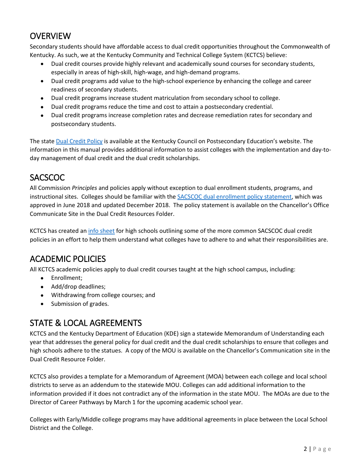### **OVERVIEW**

Secondary students should have affordable access to dual credit opportunities throughout the Commonwealth of Kentucky. As such, we at the Kentucky Community and Technical College System (KCTCS) believe:

- Dual credit courses provide highly relevant and academically sound courses for secondary students, especially in areas of high-skill, high-wage, and high-demand programs.
- Dual credit programs add value to the high-school experience by enhancing the college and career readiness of secondary students.
- Dual credit programs increase student matriculation from secondary school to college.
- Dual credit programs reduce the time and cost to attain a postsecondary credential.
- Dual credit programs increase completion rates and decrease remediation rates for secondary and postsecondary students.

The state [Dual Credit Policy](http://cpe.ky.gov/policies/dualcredit.html) is available at the Kentucky Council on Postsecondary Education's website. The information in this manual provides additional information to assist colleges with the implementation and day-today management of dual credit and the dual credit scholarships.

### **SACSCOC**

All Commission *Principles* and policies apply without exception to dual enrollment students, programs, and instructional sites. Colleges should be familiar with the [SACSCOC dual enrollment policy statement,](https://kctcs.sharepoint.com/:b:/s/ChancellorsOffice/EeZb4yUa2INAptBeEK3b3_MBuB4kF6flGHmOe_kxqdC-1Q?e=rbvu2N) which was approved in June 2018 and updated December 2018. The policy statement is available on the Chancellor's Office Communicate Site in the Dual Credit Resources Folder.

KCTCS has created an [info sheet](https://kctcs.sharepoint.com/:b:/s/ChancellorsOffice/EUl4yC9zD-ZDuQ7SqKT4pS0BJ4x-Oba7izE3Hhifk-coew?e=0EurYn) for high schools outlining some of the more common SACSCOC dual credit policies in an effort to help them understand what colleges have to adhere to and what their responsibilities are.

# ACADEMIC POLICIES

All KCTCS academic policies apply to dual credit courses taught at the high school campus, including:

- Enrollment;
- Add/drop deadlines;
- Withdrawing from college courses; and
- Submission of grades.

### STATE & LOCAL AGREEMENTS

KCTCS and the Kentucky Department of Education (KDE) sign a statewide Memorandum of Understanding each year that addresses the general policy for dual credit and the dual credit scholarships to ensure that colleges and high schools adhere to the statues. A copy of the MOU is available on the Chancellor's Communication site in the Dual Credit Resource Folder.

KCTCS also provides a template for a Memorandum of Agreement (MOA) between each college and local school districts to serve as an addendum to the statewide MOU. Colleges can add additional information to the information provided if it does not contradict any of the information in the state MOU. The MOAs are due to the Director of Career Pathways by March 1 for the upcoming academic school year.

Colleges with Early/Middle college programs may have additional agreements in place between the Local School District and the College.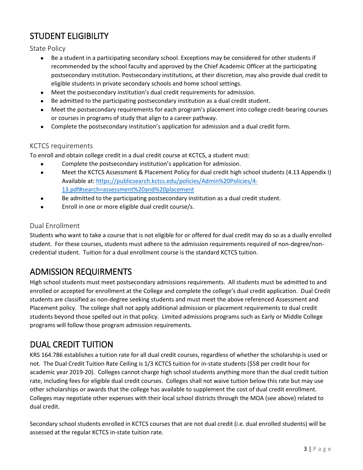## STUDENT ELIGIBILITY

State Policy

- Be a student in a participating secondary school. Exceptions may be considered for other students if recommended by the school faculty and approved by the Chief Academic Officer at the participating postsecondary institution. Postsecondary institutions, at their discretion, may also provide dual credit to eligible students in private secondary schools and home school settings.
- Meet the postsecondary institution's dual credit requirements for admission.
- Be admitted to the participating postsecondary institution as a dual credit student.
- Meet the postsecondary requirements for each program's placement into college credit-bearing courses or courses in programs of study that align to a career pathway.
- Complete the postsecondary institution's application for admission and a dual credit form.

#### KCTCS requirements

To enroll and obtain college credit in a dual credit course at KCTCS, a student must:

- Complete the postsecondary institution's application for admission.
- Meet the KCTCS Assessment & Placement Policy for dual credit high school students (4.13 Appendix I) Available at: [https://publicsearch.kctcs.edu/policies/Admin%20Policies/4-](https://publicsearch.kctcs.edu/policies/Admin%20Policies/4-13.pdf#search=assessment%20and%20placement) [13.pdf#search=assessment%20and%20placement](https://publicsearch.kctcs.edu/policies/Admin%20Policies/4-13.pdf#search=assessment%20and%20placement)
- Be admitted to the participating postsecondary institution as a dual credit student.
- Enroll in one or more eligible dual credit course/s.

#### Dual Enrollment

Students who want to take a course that is not eligible for or offered for dual credit may do so as a dually enrolled student. For these courses, students must adhere to the admission requirements required of non-degree/noncredential student. Tuition for a dual enrollment course is the standard KCTCS tuition.

### ADMISSION REQUIRMENTS

High school students must meet postsecondary admissions requirements. All students must be admitted to and enrolled or accepted for enrollment at the College and complete the college's dual credit application. Dual Credit students are classified as non-degree seeking students and must meet the above referenced Assessment and Placement policy. The college shall not apply additional admission or placement requirements to dual credit students beyond those spelled out in that policy. Limited admissions programs such as Early or Middle College programs will follow those program admission requirements.

### DUAL CREDIT TUITION

KRS 164.786 establishes a tuition rate for all dual credit courses, regardless of whether the scholarship is used or not. The Dual Credit Tuition Rate Ceiling is 1/3 KCTCS tuition for in-state students (\$58 per credit hour for academic year 2019-20). Colleges cannot charge high school students anything more than the dual credit tuition rate, including fees for eligible dual credit courses. Colleges shall not waive tuition below this rate but may use other scholarships or awards that the college has available to supplement the cost of dual credit enrollment. Colleges may negotiate other expenses with their local school districts through the MOA (see above) related to dual credit.

Secondary school students enrolled in KCTCS courses that are not dual credit (i.e. dual enrolled students) will be assessed at the regular KCTCS in-state tuition rate.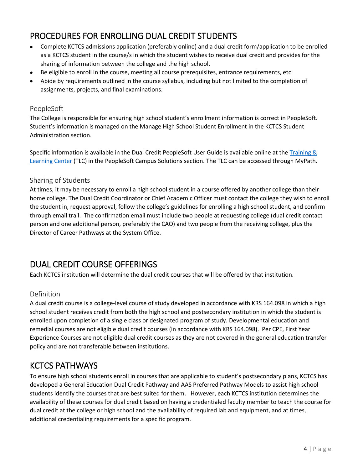## PROCEDURES FOR ENROLLING DUAL CREDIT STUDENTS

- Complete KCTCS admissions application (preferably online) and a dual credit form/application to be enrolled as a KCTCS student in the course/s in which the student wishes to receive dual credit and provides for the sharing of information between the college and the high school.
- Be eligible to enroll in the course, meeting all course prerequisites, entrance requirements, etc.
- Abide by requirements outlined in the course syllabus, including but not limited to the completion of assignments, projects, and final examinations.

#### PeopleSoft

The College is responsible for ensuring high school student's enrollment information is correct in PeopleSoft. Student's information is managed on the Manage High School Student Enrollment in the KCTCS Student Administration section.

Specific information is available in the Dual Credit PeopleSoft User Guide is available online at th[e Training &](https://kctcs.sharepoint.com/sites/tlc/SitePages/PeopleSoftCampusSolutions.aspx)  [Learning Center](https://kctcs.sharepoint.com/sites/tlc/SitePages/PeopleSoftCampusSolutions.aspx) (TLC) in the PeopleSoft Campus Solutions section. The TLC can be accessed through MyPath.

#### Sharing of Students

At times, it may be necessary to enroll a high school student in a course offered by another college than their home college. The Dual Credit Coordinator or Chief Academic Officer must contact the college they wish to enroll the student in, request approval, follow the college's guidelines for enrolling a high school student, and confirm through email trail. The confirmation email must include two people at requesting college (dual credit contact person and one additional person, preferably the CAO) and two people from the receiving college, plus the Director of Career Pathways at the System Office.

### DUAL CREDIT COURSE OFFERINGS

Each KCTCS institution will determine the dual credit courses that will be offered by that institution.

#### Definition

A dual credit course is a college-level course of study developed in accordance with KRS 164.098 in which a high school student receives credit from both the high school and postsecondary institution in which the student is enrolled upon completion of a single class or designated program of study. Developmental education and remedial courses are not eligible dual credit courses (in accordance with KRS 164.098). Per CPE, First Year Experience Courses are not eligible dual credit courses as they are not covered in the general education transfer policy and are not transferable between institutions.

### KCTCS PATHWAYS

To ensure high school students enroll in courses that are applicable to student's postsecondary plans, KCTCS has developed a General Education Dual Credit Pathway and AAS Preferred Pathway Models to assist high school students identify the courses that are best suited for them. However, each KCTCS institution determines the availability of these courses for dual credit based on having a credentialed faculty member to teach the course for dual credit at the college or high school and the availability of required lab and equipment, and at times, additional credentialing requirements for a specific program.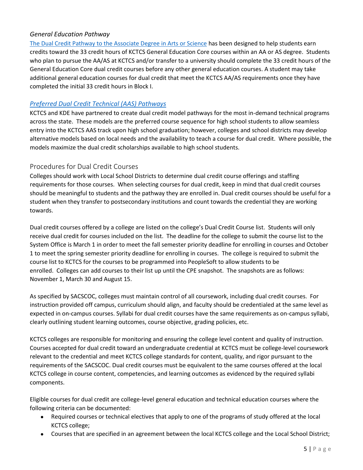#### *General Education Pathway*

[The Dual Credit Pathway to the Associate Degree in Arts or Science](https://kctcs.sharepoint.com/:b:/s/ChancellorsOffice/ET1DzsKsbcpHnc99xCbwKlIBIx_pA6qUaZnEz-BLmoIR0w?e=cP7d5y) has been designed to help students earn credits toward the 33 credit hours of KCTCS General Education Core courses within an AA or AS degree. Students who plan to pursue the AA/AS at KCTCS and/or transfer to a university should complete the 33 credit hours of the General Education Core dual credit courses before any other general education courses. A student may take additional general education courses for dual credit that meet the KCTCS AA/AS requirements once they have completed the initial 33 credit hours in Block I.

#### *[Preferred Dual Credit Technical \(AAS\) Pathways](https://kctcs.sharepoint.com/:b:/s/ChancellorsOffice/EXpzIc1IJPJAm5tdSGPIC68B9QPQfxHa-6cVjiryBMyxeg?e=4bB7GP)*

KCTCS and KDE have partnered to create dual credit model pathways for the most in-demand technical programs across the state. These models are the preferred course sequence for high school students to allow seamless entry into the KCTCS AAS track upon high school graduation; however, colleges and school districts may develop alternative models based on local needs and the availability to teach a course for dual credit. Where possible, the models maximize the dual credit scholarships available to high school students.

#### Procedures for Dual Credit Courses

Colleges should work with Local School Districts to determine dual credit course offerings and staffing requirements for those courses. When selecting courses for dual credit, keep in mind that dual credit courses should be meaningful to students and the pathway they are enrolled in. Dual credit courses should be useful for a student when they transfer to postsecondary institutions and count towards the credential they are working towards.

Dual credit courses offered by a college are listed on the college's Dual Credit Course list. Students will only receive dual credit for courses included on the list. The deadline for the college to submit the course list to the System Office is March 1 in order to meet the fall semester priority deadline for enrolling in courses and October 1 to meet the spring semester priority deadline for enrolling in courses. The college is required to submit the course list to KCTCS for the courses to be programmed into PeopleSoft to allow students to be enrolled. Colleges can add courses to their list up until the CPE snapshot. The snapshots are as follows: November 1, March 30 and August 15.

As specified by SACSCOC, colleges must maintain control of all coursework, including dual credit courses. For instruction provided off campus, curriculum should align, and faculty should be credentialed at the same level as expected in on-campus courses. Syllabi for dual credit courses have the same requirements as on-campus syllabi, clearly outlining student learning outcomes, course objective, grading policies, etc.

KCTCS colleges are responsible for monitoring and ensuring the college level content and quality of instruction. Courses accepted for dual credit toward an undergraduate credential at KCTCS must be college-level coursework relevant to the credential and meet KCTCS college standards for content, quality, and rigor pursuant to the requirements of the SACSCOC. Dual credit courses must be equivalent to the same courses offered at the local KCTCS college in course content, competencies, and learning outcomes as evidenced by the required syllabi components.

Eligible courses for dual credit are college-level general education and technical education courses where the following criteria can be documented:

- Required courses or technical electives that apply to one of the programs of study offered at the local KCTCS college;
- Courses that are specified in an agreement between the local KCTCS college and the Local School District;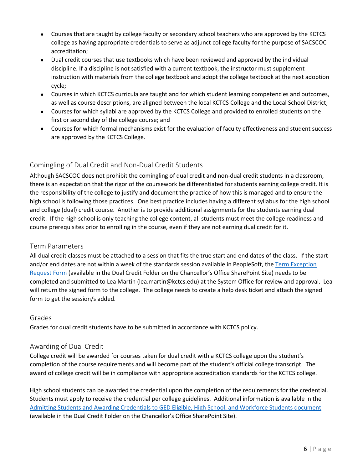- Courses that are taught by college faculty or secondary school teachers who are approved by the KCTCS college as having appropriate credentials to serve as adjunct college faculty for the purpose of SACSCOC accreditation;
- Dual credit courses that use textbooks which have been reviewed and approved by the individual discipline. If a discipline is not satisfied with a current textbook, the instructor must supplement instruction with materials from the college textbook and adopt the college textbook at the next adoption cycle;
- Courses in which KCTCS curricula are taught and for which student learning competencies and outcomes, as well as course descriptions, are aligned between the local KCTCS College and the Local School District;
- Courses for which syllabi are approved by the KCTCS College and provided to enrolled students on the first or second day of the college course; and
- Courses for which formal mechanisms exist for the evaluation of faculty effectiveness and student success are approved by the KCTCS College.

#### Comingling of Dual Credit and Non-Dual Credit Students

Although SACSCOC does not prohibit the comingling of dual credit and non-dual credit students in a classroom, there is an expectation that the rigor of the coursework be differentiated for students earning college credit. It is the responsibility of the college to justify and document the practice of how this is managed and to ensure the high school is following those practices. One best practice includes having a different syllabus for the high school and college (dual) credit course. Another is to provide additional assignments for the students earning dual credit. If the high school is only teaching the college content, all students must meet the college readiness and course prerequisites prior to enrolling in the course, even if they are not earning dual credit for it.

#### Term Parameters

All dual credit classes must be attached to a session that fits the true start and end dates of the class. If the start and/or end dates are not within a week of the standards session available in PeopleSoft, th[e Term Exception](https://kctcs.sharepoint.com/:w:/s/ChancellorsOffice/EXxoJC8Rzj9JrHdGEzJjdKoBMz5brb9zCKqO4KuHfw2-sA?e=1zH58a)  [Request Form](https://kctcs.sharepoint.com/:w:/s/ChancellorsOffice/EXxoJC8Rzj9JrHdGEzJjdKoBMz5brb9zCKqO4KuHfw2-sA?e=1zH58a) (available in the Dual Credit Folder on the Chancellor's Office SharePoint Site) needs to be completed and submitted to Lea Martin [\(lea.martin@kctcs.edu\)](mailto:lea.martin@kctcs.edu) at the System Office for review and approval. Lea will return the signed form to the college. The college needs to create a help desk ticket and attach the signed form to get the session/s added.

#### Grades

Grades for dual credit students have to be submitted in accordance with KCTCS policy.

#### Awarding of Dual Credit

College credit will be awarded for courses taken for dual credit with a KCTCS college upon the student's completion of the course requirements and will become part of the student's official college transcript. The award of college credit will be in compliance with appropriate accreditation standards for the KCTCS college.

High school students can be awarded the credential upon the completion of the requirements for the credential. Students must apply to receive the credential per college guidelines. Additional information is available in the [Admitting Students and Awarding Credentials to GED Eligible, High School, and Workforce Students document](https://kctcs.sharepoint.com/:b:/s/ChancellorsOffice/EUpSQIaBDE5Jl5wNvLGw0OkByy1ARB0czfQDEZtVLpDI8A?e=pR7eHH) (available in the Dual Credit Folder on the Chancellor's Office SharePoint Site).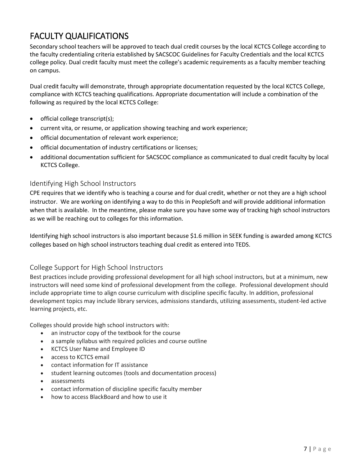# FACULTY QUALIFICATIONS

Secondary school teachers will be approved to teach dual credit courses by the local KCTCS College according to the faculty credentialing criteria established by SACSCOC Guidelines for Faculty Credentials and the local KCTCS college policy. Dual credit faculty must meet the college's academic requirements as a faculty member teaching on campus.

Dual credit faculty will demonstrate, through appropriate documentation requested by the local KCTCS College, compliance with KCTCS teaching qualifications. Appropriate documentation will include a combination of the following as required by the local KCTCS College:

- official college transcript(s);
- current vita, or resume, or application showing teaching and work experience;
- official documentation of relevant work experience;
- official documentation of industry certifications or licenses;
- additional documentation sufficient for SACSCOC compliance as communicated to dual credit faculty by local KCTCS College.

#### Identifying High School Instructors

CPE requires that we identify who is teaching a course and for dual credit, whether or not they are a high school instructor. We are working on identifying a way to do this in PeopleSoft and will provide additional information when that is available. In the meantime, please make sure you have some way of tracking high school instructors as we will be reaching out to colleges for this information.

Identifying high school instructors is also important because \$1.6 million in SEEK funding is awarded among KCTCS colleges based on high school instructors teaching dual credit as entered into TEDS.

#### College Support for High School Instructors

Best practices include providing professional development for all high school instructors, but at a minimum, new instructors will need some kind of professional development from the college. Professional development should include appropriate time to align course curriculum with discipline specific faculty. In addition, professional development topics may include library services, admissions standards, utilizing assessments, student-led active learning projects, etc.

Colleges should provide high school instructors with:

- an instructor copy of the textbook for the course
- a sample syllabus with required policies and course outline
- KCTCS User Name and Employee ID
- access to KCTCS email
- contact information for IT assistance
- student learning outcomes (tools and documentation process)
- assessments
- contact information of discipline specific faculty member
- how to access BlackBoard and how to use it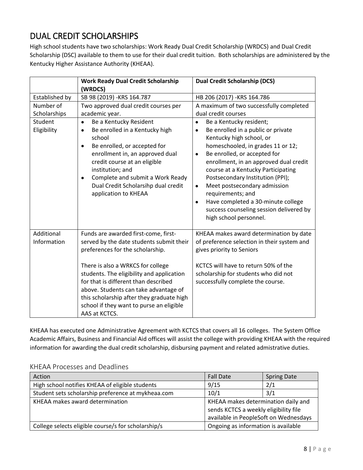### DUAL CREDIT SCHOLARSHIPS

High school students have two scholarships: Work Ready Dual Credit Scholarship (WRDCS) and Dual Credit Scholarship (DSC) available to them to use for their dual credit tuition. Both scholarships are administered by the Kentucky Higher Assistance Authority (KHEAA).

|                           | <b>Work Ready Dual Credit Scholarship</b><br>(WRDCS)                                                                                                                                                                                                                                                                                                                                              | <b>Dual Credit Scholarship (DCS)</b>                                                                                                                                                                                                                                                                                                                                                                                                                                                                                |
|---------------------------|---------------------------------------------------------------------------------------------------------------------------------------------------------------------------------------------------------------------------------------------------------------------------------------------------------------------------------------------------------------------------------------------------|---------------------------------------------------------------------------------------------------------------------------------------------------------------------------------------------------------------------------------------------------------------------------------------------------------------------------------------------------------------------------------------------------------------------------------------------------------------------------------------------------------------------|
| Established by            | SB 98 (2019) - KRS 164.787                                                                                                                                                                                                                                                                                                                                                                        | HB 206 (2017) - KRS 164.786                                                                                                                                                                                                                                                                                                                                                                                                                                                                                         |
| Number of<br>Scholarships | Two approved dual credit courses per<br>academic year.                                                                                                                                                                                                                                                                                                                                            | A maximum of two successfully completed<br>dual credit courses                                                                                                                                                                                                                                                                                                                                                                                                                                                      |
| Student<br>Eligibility    | Be a Kentucky Resident<br>Be enrolled in a Kentucky high<br>$\bullet$<br>school<br>Be enrolled, or accepted for<br>$\bullet$<br>enrollment in, an approved dual<br>credit course at an eligible<br>institution; and<br>Complete and submit a Work Ready<br>$\bullet$<br>Dual Credit Scholarsihp dual credit<br>application to KHEAA                                                               | Be a Kentucky resident;<br>$\bullet$<br>Be enrolled in a public or private<br>$\bullet$<br>Kentucky high school, or<br>homeschooled, in grades 11 or 12;<br>Be enrolled, or accepted for<br>$\bullet$<br>enrollment, in an approved dual credit<br>course at a Kentucky Participating<br>Postsecondary Institution (PPI);<br>Meet postsecondary admission<br>$\bullet$<br>requirements; and<br>Have completed a 30-minute college<br>$\bullet$<br>success counseling session delivered by<br>high school personnel. |
| Additional<br>Information | Funds are awarded first-come, first-<br>served by the date students submit their<br>preferences for the scholarship.<br>There is also a WRKCS for college<br>students. The eligibility and application<br>for that is different than described<br>above. Students can take advantage of<br>this scholarship after they graduate high<br>school if they want to purse an eligible<br>AAS at KCTCS. | KHEAA makes award determination by date<br>of preference selection in their system and<br>gives priority to Seniors<br>KCTCS will have to return 50% of the<br>scholarship for students who did not<br>successfully complete the course.                                                                                                                                                                                                                                                                            |

KHEAA has executed one Administrative Agreement with KCTCS that covers all 16 colleges. The System Office Academic Affairs, Business and Financial Aid offices will assist the college with providing KHEAA with the required information for awarding the dual credit scholarship, disbursing payment and related admistrative duties.

#### KHEAA Processes and Deadlines

| Action                                              | <b>Fall Date</b>                                                                                                      | <b>Spring Date</b> |
|-----------------------------------------------------|-----------------------------------------------------------------------------------------------------------------------|--------------------|
| High school notifies KHEAA of eligible students     | 9/15                                                                                                                  | 2/1                |
| Student sets scholarship preference at mykheaa.com  | 10/1                                                                                                                  | 3/1                |
| KHEAA makes award determination                     | KHEAA makes determination daily and<br>sends KCTCS a weekly eligibility file<br>available in PeopleSoft on Wednesdays |                    |
| College selects eligible course/s for scholarship/s | Ongoing as information is available                                                                                   |                    |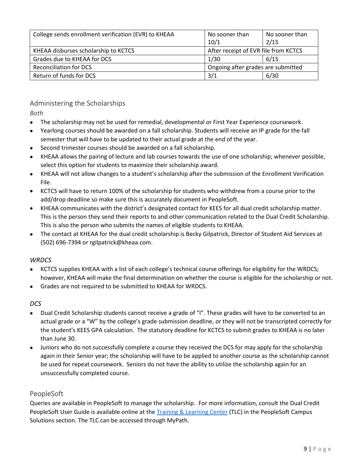| College sends enrollment verification (EVR) to KHEAA | No sooner than<br>10/1               | No sooner than<br>2/15 |
|------------------------------------------------------|--------------------------------------|------------------------|
| KHEAA disburses scholarship to KCTCS                 | After receipt of EVR file from KCTCS |                        |
| Grades due to KHEAA for DCS                          | 1/30                                 | 6/15                   |
| <b>Reconciliation for DCS</b>                        | Ongoing after grades are submitted   |                        |
| Return of funds for DCS                              | 3/1                                  | 6/30                   |

#### Administering the Scholarships

*Both*

- The scholarship may not be used for remedial, developmental or First Year Experience coursework.
- Yearlong courses should be awarded on a fall scholarship. Students will receive an IP grade for the fall semester that will have to be updated to their actual grade at the end of the year.
- Second trimester courses should be awarded on a fall scholarship.
- KHEAA allows the pairing of lecture and lab courses towards the use of one scholarship; whenever possible, select this option for students to maximize their scholarship award.
- KHEAA will not allow changes to a student's scholarship after the submission of the Enrollment Verification File.
- KCTCS will have to return 100% of the scholarship for students who withdrew from a course prior to the add/drop deadline so make sure this is accurately document in PeopleSoft.
- KHEAA communicates with the district's designated contact for KEES for all dual credit scholarship matter. This is the person they send their reports to and other communication related to the Dual Credit Scholarship. This is also the person who submits the names of eligible students to KHEAA.
- The contact at KHEAA for the dual credit scholarship is Becky Gilpatrick, Director of Student Aid Services at (502) 696-7394 or rgilpatrick@kheaa.com.

#### *WRDCS*

- KCTCS supplies KHEAA with a list of each college's technical course offerings for eligibility for the WRDCS; however, KHEAA will make the final determination on whether the course is eligible for the scholarship or not.
- Grades are not required to be submitted to KHEAA for WRDCS.

#### *DCS*

- Dual Credit Scholarship students cannot receive a grade of "I". These grades will have to be converted to an actual grade or a "W" by the college's grade submission deadline, or they will not be transcripted correctly for the student's KEES GPA calculation. The statutory deadline for KCTCS to submit grades to KHEAA is no later than June 30.
- Juniors who do not successfully complete a course they received the DCS for may apply for the scholarship again in their Senior year; the scholarship will have to be applied to another course as the scholarship cannot be used for repeat coursework. Seniors do not have the ability to utilize the scholarship again for an unsuccessfully completed course.

#### PeopleSoft

Queries are available in PeopleSoft to manage the scholarship. For more information, consult the Dual Credit PeopleSoft User Guide is available online at the [Training & Learning Center](https://kctcs.sharepoint.com/sites/tlc/SitePages/PeopleSoftCampusSolutions.aspx) (TLC) in the PeopleSoft Campus Solutions section. The TLC can be accessed through MyPath.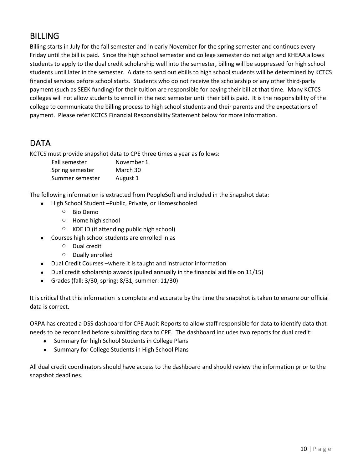### BILLING

Billing starts in July for the fall semester and in early November for the spring semester and continues every Friday until the bill is paid. Since the high school semester and college semester do not align and KHEAA allows students to apply to the dual credit scholarship well into the semester, billing will be suppressed for high school students until later in the semester. A date to send out ebills to high school students will be determined by KCTCS financial services before school starts. Students who do not receive the scholarship or any other third-party payment (such as SEEK funding) for their tuition are responsible for paying their bill at that time. Many KCTCS colleges will not allow students to enroll in the next semester until their bill is paid. It is the responsibility of the college to communicate the billing process to high school students and their parents and the expectations of payment. Please refer KCTCS Financial Responsibility Statement below for more information.

### DATA

KCTCS must provide snapshot data to CPE three times a year as follows:

| Fall semester   | November 1 |
|-----------------|------------|
| Spring semester | March 30   |
| Summer semester | August 1   |

The following information is extracted from PeopleSoft and included in the Snapshot data:

- High School Student –Public, Private, or Homeschooled
	- o Bio Demo
	- o Home high school
	- o KDE ID (if attending public high school)
- Courses high school students are enrolled in as
	- o Dual credit
	- o Dually enrolled
- Dual Credit Courses –where it is taught and instructor information
- Dual credit scholarship awards (pulled annually in the financial aid file on 11/15)
- Grades (fall: 3/30, spring: 8/31, summer: 11/30)

It is critical that this information is complete and accurate by the time the snapshot is taken to ensure our official data is correct.

ORPA has created a DSS dashboard for CPE Audit Reports to allow staff responsible for data to identify data that needs to be reconciled before submitting data to CPE. The dashboard includes two reports for dual credit:

- Summary for high School Students in College Plans
- Summary for College Students in High School Plans

All dual credit coordinators should have access to the dashboard and should review the information prior to the snapshot deadlines.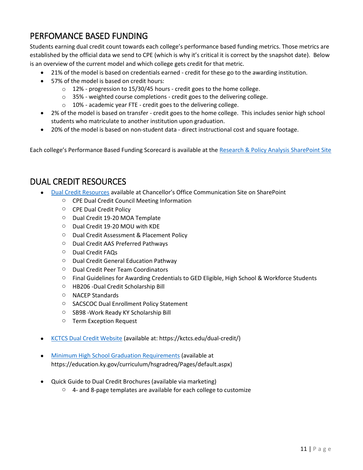### PERFOMANCE BASED FUNDING

Students earning dual credit count towards each college's performance based funding metrics. Those metrics are established by the official data we send to CPE (which is why it's critical it is correct by the snapshot date). Below is an overview of the current model and which college gets credit for that metric.

- 21% of the model is based on credentials earned credit for these go to the awarding institution.
- 57% of the model is based on credit hours:
	- o 12% progression to 15/30/45 hours credit goes to the home college.
	- o 35% weighted course completions credit goes to the delivering college.
	- o 10% academic year FTE credit goes to the delivering college.
- 2% of the model is based on transfer credit goes to the home college. This includes senior high school students who matriculate to another institution upon graduation.
- 20% of the model is based on non-student data direct instructional cost and square footage.

Each college's Performance Based Funding Scorecard is available at the [Research & Policy Analysis SharePoint Site](https://kctcs.sharepoint.com/sites/ORPA/SitePages/Performance-Based-Funding-Model.aspx)

### DUAL CREDIT RESOURCES

- [Dual Credit Resources](https://kctcs.sharepoint.com/sites/ChancellorsOffice/SitePages/Dual-Credit.aspx) available at Chancellor's Office Communication Site on SharePoint
	- o CPE Dual Credit Council Meeting Information
	- o CPE Dual Credit Policy
	- o Dual Credit 19-20 MOA Template
	- o Dual Credit 19-20 MOU with KDE
	- o Dual Credit Assessment & Placement Policy
	- o Dual Credit AAS Preferred Pathways
	- o Dual Credit FAQs
	- o Dual Credit General Education Pathway
	- o Dual Credit Peer Team Coordinators
	- $\circ$  Final Guidelines for Awarding Credentials to GED Eligible, High School & Workforce Students
	- o HB206 -Dual Credit Scholarship Bill
	- o NACEP Standards
	- o SACSCOC Dual Enrollment Policy Statement
	- o SB98 -Work Ready KY Scholarship Bill
	- o Term Exception Request
- [KCTCS Dual Credit Website](https://kctcs.edu/dual-credit) (available at: https://kctcs.edu/dual-credit/)
- [Minimum High School Graduation Requirements](https://education.ky.gov/curriculum/hsgradreq/Pages/default.aspx) (available at https://education.ky.gov/curriculum/hsgradreq/Pages/default.aspx)
- Quick Guide to Dual Credit Brochures (available via marketing)
	- $\degree$  4- and 8-page templates are available for each college to customize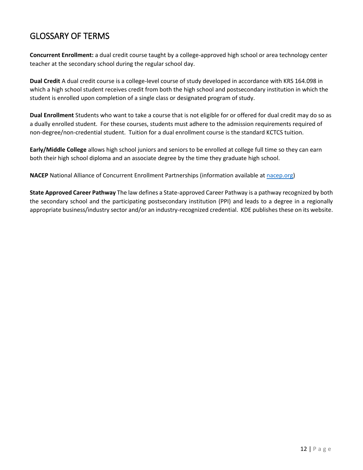### GLOSSARY OF TERMS

**Concurrent Enrollment:** a dual credit course taught by a college-approved high school or area technology center teacher at the secondary school during the regular school day.

**Dual Credit** A dual credit course is a college-level course of study developed in accordance with KRS 164.098 in which a high school student receives credit from both the high school and postsecondary institution in which the student is enrolled upon completion of a single class or designated program of study.

**Dual Enrollment** Students who want to take a course that is not eligible for or offered for dual credit may do so as a dually enrolled student. For these courses, students must adhere to the admission requirements required of non-degree/non-credential student. Tuition for a dual enrollment course is the standard KCTCS tuition.

**Early/Middle College** allows high school juniors and seniors to be enrolled at college full time so they can earn both their high school diploma and an associate degree by the time they graduate high school.

**NACEP** National Alliance of Concurrent Enrollment Partnerships (information available at [nacep.org\)](http://www.nacep.org/about-nacep/)

**State Approved Career Pathway** The law defines a State-approved Career Pathway is a pathway recognized by both the secondary school and the participating postsecondary institution (PPI) and leads to a degree in a regionally appropriate business/industry sector and/or an industry-recognized credential. KDE publishes these on its website.